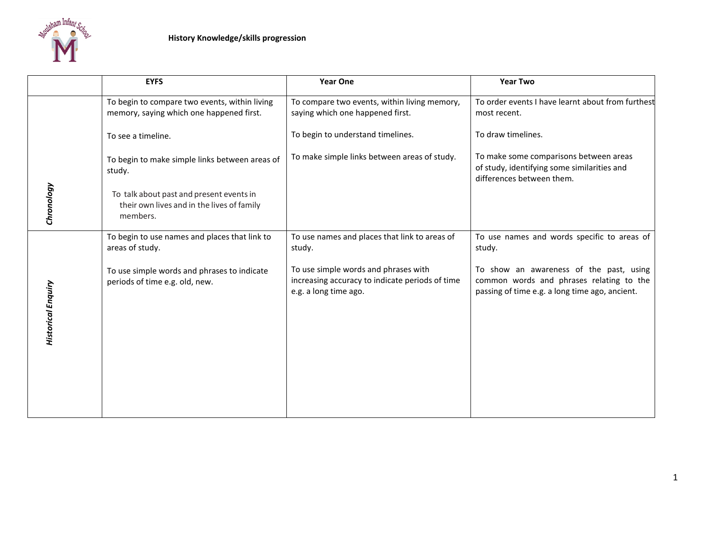

|                           | <b>EYFS</b>                                                                                        | <b>Year One</b>                                                                                                  | <b>Year Two</b>                                                                                                                       |
|---------------------------|----------------------------------------------------------------------------------------------------|------------------------------------------------------------------------------------------------------------------|---------------------------------------------------------------------------------------------------------------------------------------|
|                           | To begin to compare two events, within living<br>memory, saying which one happened first.          | To compare two events, within living memory,<br>saying which one happened first.                                 | To order events I have learnt about from furthest<br>most recent.                                                                     |
| Chronology                | To see a timeline.                                                                                 | To begin to understand timelines.                                                                                | To draw timelines.                                                                                                                    |
|                           | To begin to make simple links between areas of<br>study.                                           | To make simple links between areas of study.                                                                     | To make some comparisons between areas<br>of study, identifying some similarities and<br>differences between them.                    |
|                           | To talk about past and present events in<br>their own lives and in the lives of family<br>members. |                                                                                                                  |                                                                                                                                       |
|                           | To begin to use names and places that link to<br>areas of study.                                   | To use names and places that link to areas of<br>study.                                                          | To use names and words specific to areas of<br>study.                                                                                 |
| <b>Historical Enquiry</b> | To use simple words and phrases to indicate<br>periods of time e.g. old, new.                      | To use simple words and phrases with<br>increasing accuracy to indicate periods of time<br>e.g. a long time ago. | To show an awareness of the past, using<br>common words and phrases relating to the<br>passing of time e.g. a long time ago, ancient. |
|                           |                                                                                                    |                                                                                                                  |                                                                                                                                       |
|                           |                                                                                                    |                                                                                                                  |                                                                                                                                       |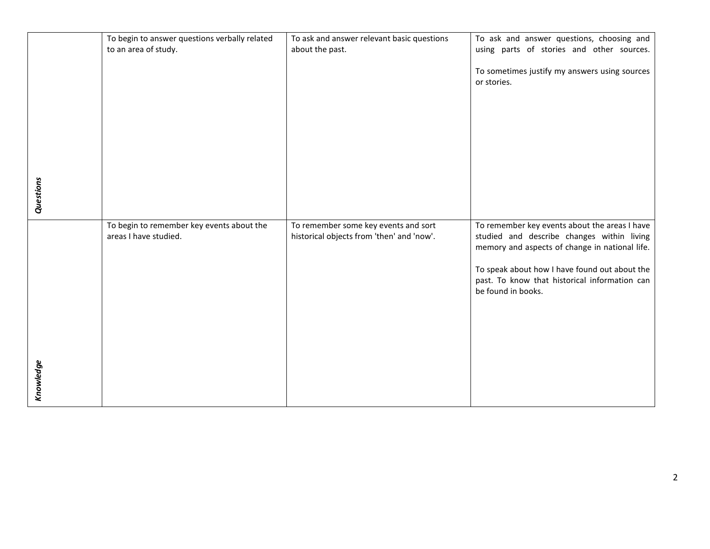|           | To begin to answer questions verbally related                      | To ask and answer relevant basic questions                                        | To ask and answer questions, choosing and                                                                                                                                                                                                                             |
|-----------|--------------------------------------------------------------------|-----------------------------------------------------------------------------------|-----------------------------------------------------------------------------------------------------------------------------------------------------------------------------------------------------------------------------------------------------------------------|
|           | to an area of study.                                               | about the past.                                                                   | using parts of stories and other sources.                                                                                                                                                                                                                             |
| Questions |                                                                    |                                                                                   | To sometimes justify my answers using sources<br>or stories.                                                                                                                                                                                                          |
|           |                                                                    |                                                                                   |                                                                                                                                                                                                                                                                       |
| Knowledge | To begin to remember key events about the<br>areas I have studied. | To remember some key events and sort<br>historical objects from 'then' and 'now'. | To remember key events about the areas I have<br>studied and describe changes within living<br>memory and aspects of change in national life.<br>To speak about how I have found out about the<br>past. To know that historical information can<br>be found in books. |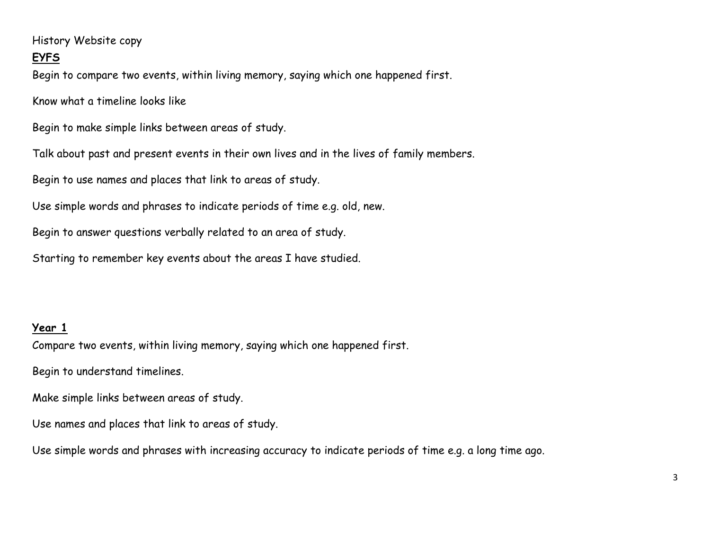## History Website copy

## **EYFS**

Begin to compare two events, within living memory, saying which one happened first.

Know what a timeline looks like

Begin to make simple links between areas of study.

Talk about past and present events in their own lives and in the lives of family members.

Begin to use names and places that link to areas of study.

Use simple words and phrases to indicate periods of time e.g. old, new.

Begin to answer questions verbally related to an area of study.

Starting to remember key events about the areas I have studied.

## **Year 1**

Compare two events, within living memory, saying which one happened first.

Begin to understand timelines.

Make simple links between areas of study.

Use names and places that link to areas of study.

Use simple words and phrases with increasing accuracy to indicate periods of time e.g. a long time ago.